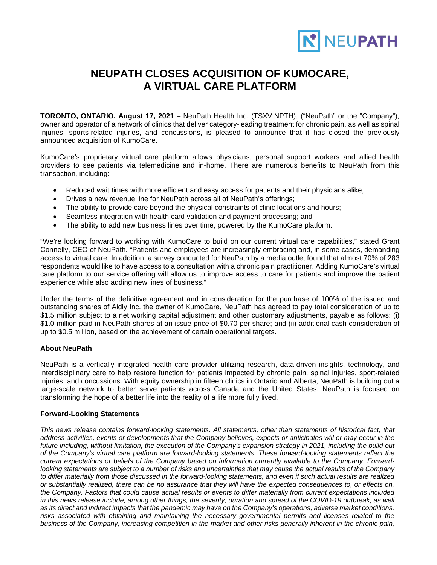

## **NEUPATH CLOSES ACQUISITION OF KUMOCARE, A VIRTUAL CARE PLATFORM**

**TORONTO, ONTARIO, August 17, 2021 –** NeuPath Health Inc. (TSXV:NPTH), ("NeuPath" or the "Company"), owner and operator of a network of clinics that deliver category-leading treatment for chronic pain, as well as spinal injuries, sports-related injuries, and concussions, is pleased to announce that it has closed the previously announced acquisition of KumoCare.

KumoCare's proprietary virtual care platform allows physicians, personal support workers and allied health providers to see patients via telemedicine and in-home. There are numerous benefits to NeuPath from this transaction, including:

- Reduced wait times with more efficient and easy access for patients and their physicians alike;
- Drives a new revenue line for NeuPath across all of NeuPath's offerings;
- The ability to provide care beyond the physical constraints of clinic locations and hours;
- Seamless integration with health card validation and payment processing; and
- The ability to add new business lines over time, powered by the KumoCare platform.

"We're looking forward to working with KumoCare to build on our current virtual care capabilities," stated Grant Connelly, CEO of NeuPath. "Patients and employees are increasingly embracing and, in some cases, demanding access to virtual care. In addition, a survey conducted for NeuPath by a media outlet found that almost 70% of 283 respondents would like to have access to a consultation with a chronic pain practitioner. Adding KumoCare's virtual care platform to our service offering will allow us to improve access to care for patients and improve the patient experience while also adding new lines of business."

Under the terms of the definitive agreement and in consideration for the purchase of 100% of the issued and outstanding shares of Aidly Inc. the owner of KumoCare, NeuPath has agreed to pay total consideration of up to \$1.5 million subject to a net working capital adjustment and other customary adjustments, payable as follows: (i) \$1.0 million paid in NeuPath shares at an issue price of \$0.70 per share; and (ii) additional cash consideration of up to \$0.5 million, based on the achievement of certain operational targets.

## **About NeuPath**

NeuPath is a vertically integrated health care provider utilizing research, data-driven insights, technology, and interdisciplinary care to help restore function for patients impacted by chronic pain, spinal injuries, sport-related injuries, and concussions. With equity ownership in fifteen clinics in Ontario and Alberta, NeuPath is building out a large-scale network to better serve patients across Canada and the United States. NeuPath is focused on transforming the hope of a better life into the reality of a life more fully lived.

## **Forward-Looking Statements**

*This news release contains forward-looking statements. All statements, other than statements of historical fact, that address activities, events or developments that the Company believes, expects or anticipates will or may occur in the future including, without limitation, the execution of the Company's expansion strategy in 2021, including the build out of the Company's virtual care platform are forward-looking statements. These forward-looking statements reflect the current expectations or beliefs of the Company based on information currently available to the Company. Forwardlooking statements are subject to a number of risks and uncertainties that may cause the actual results of the Company to differ materially from those discussed in the forward-looking statements, and even if such actual results are realized or substantially realized, there can be no assurance that they will have the expected consequences to, or effects on, the Company. Factors that could cause actual results or events to differ materially from current expectations included*  in this news release include, among other things, the severity, duration and spread of the COVID-19 outbreak, as well *as its direct and indirect impacts that the pandemic may have on the Company's operations, adverse market conditions,*  risks associated with obtaining and maintaining the necessary governmental permits and licenses related to the *business of the Company, increasing competition in the market and other risks generally inherent in the chronic pain,*